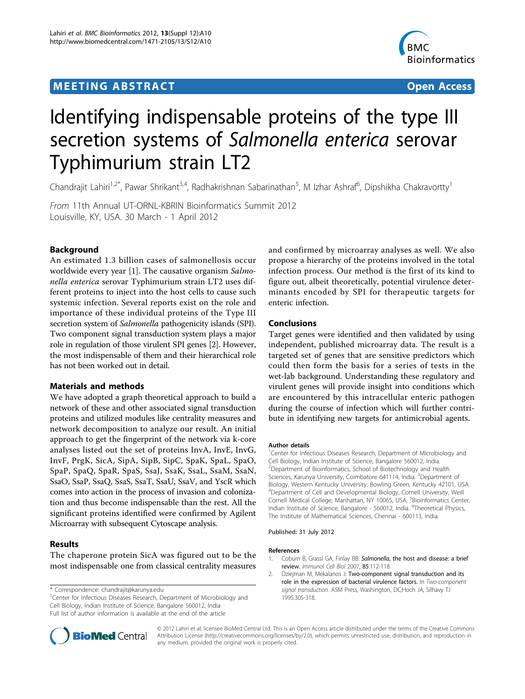# **MEETING ABSTRACT ACCESS**



# Identifying indispensable proteins of the type III secretion systems of Salmonella enterica serovar Typhimurium strain LT2

Chandrajit Lahiri<sup>1,2\*</sup>, Pawar Shrikant<sup>3,4</sup>, Radhakrishnan Sabarinathan<sup>5</sup>, M Izhar Ashraf<sup>6</sup>, Dipshikha Chakravortty<sup>1</sup>

From 11th Annual UT-ORNL-KBRIN Bioinformatics Summit 2012 Louisville, KY, USA. 30 March - 1 April 2012

# Background

An estimated 1.3 billion cases of salmonellosis occur worldwide every year [1]. The causative organism Salmonella enterica serovar Typhimurium strain LT2 uses different proteins to inject into the host cells to cause such systemic infection. Several reports exist on the role and importance of these individual proteins of the Type III secretion system of *Salmonella* pathogenicity islands (SPI). Two component signal transduction system plays a major role in regulation of those virulent SPI genes [2]. However, the most indispensable of them and their hierarchical role has not been worked out in detail.

# Materials and methods

We have adopted a graph theoretical approach to build a network of these and other associated signal transduction proteins and utilized modules like centrality measures and network decomposition to analyze our result. An initial approach to get the fingerprint of the network via k-core analyses listed out the set of proteins InvA, InvE, InvG, InvF, PrgK, SicA, SipA, SipB, SipC, SpaK, SpaL, SpaO, SpaP, SpaQ, SpaR, SpaS, SsaJ, SsaK, SsaL, SsaM, SsaN, SsaO, SsaP, SsaQ, SsaS, SsaT, SsaU, SsaV, and YscR which comes into action in the process of invasion and colonization and thus become indispensable than the rest. All the significant proteins identified were confirmed by Agilent Microarray with subsequent Cytoscape analysis.

### Results

The chaperone protein SicA was figured out to be the most indispensable one from classical centrality measures

\* Correspondence: [chandrajit@karunya.edu](mailto:chandrajit@karunya.edu)

<sup>1</sup>Center for Infectious Diseases Research, Department of Microbiology and Cell Biology, Indian Institute of Science, Bangalore 560012, India Full list of author information is available at the end of the article

and confirmed by microarray analyses as well. We also propose a hierarchy of the proteins involved in the total infection process. Our method is the first of its kind to figure out, albeit theoretically, potential virulence determinants encoded by SPI for therapeutic targets for enteric infection.

#### Conclusions

Target genes were identified and then validated by using independent, published microarray data. The result is a targeted set of genes that are sensitive predictors which could then form the basis for a series of tests in the wet-lab background. Understanding these regulatory and virulent genes will provide insight into conditions which are encountered by this intracellular enteric pathogen during the course of infection which will further contribute in identifying new targets for antimicrobial agents.

#### Author details

<sup>1</sup> Center for Infectious Diseases Research, Department of Microbiology and Cell Biology, Indian Institute of Science, Bangalore 560012, India. <sup>2</sup>Department of Bioinformatics, School of Biotechnology and Health Sciences, Karunya University, Coimbatore 641114, India. <sup>3</sup>Department of Biology, Western Kentucky University, Bowling Green, Kentucky 42101, USA. 4 Department of Cell and Developmental Biology, Cornell University, Weill Cornell Medical College, Manhattan, NY 10065, USA. <sup>5</sup>Bioinformatics Center Indian Institute of Science, Bangalore - 560012, India. <sup>6</sup>Theoretical Physics The Institute of Mathematical Sciences, Chennai - 600113, India.

#### Published: 31 July 2012

#### References

- 1. Coburn B, Grassl GA, Finlay BB: Salmonella[, the host and disease: a brief](http://www.ncbi.nlm.nih.gov/pubmed/17146467?dopt=Abstract) [review.](http://www.ncbi.nlm.nih.gov/pubmed/17146467?dopt=Abstract) Immunol Cell Biol 2007, 85:112-118.
- 2. Dziejman M, Mekalanos J: Two-component signal transduction and its role in the expression of bacterial virulence factors. In Two-component signal transduction. ASM Press, Washington, DC;Hoch JA, Silhavy TJ 1995:305-318.



© 2012 Lahiri et al; licensee BioMed Central Ltd. This is an Open Access article distributed under the terms of the Creative Commons Attribution License [\(http://creativecommons.org/licenses/by/2.0](http://creativecommons.org/licenses/by/2.0)), which permits unrestricted use, distribution, and reproduction in any medium, provided the original work is properly cited.